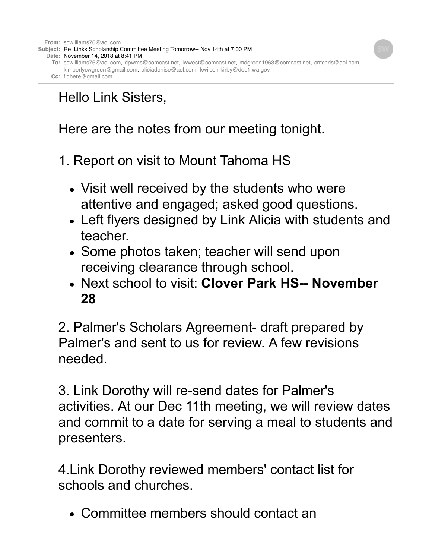

# Hello Link Sisters,

Here are the notes from our meeting tonight.

1. Report on visit to Mount Tahoma HS

- Visit well received by the students who were attentive and engaged; asked good questions.
- Left flyers designed by Link Alicia with students and teacher.
- Some photos taken; teacher will send upon receiving clearance through school.
- Next school to visit: **Clover Park HS-- November 28**

2. Palmer's Scholars Agreement- draft prepared by Palmer's and sent to us for review. A few revisions needed.

3. Link Dorothy will re-send dates for Palmer's activities. At our Dec 11th meeting, we will review dates and commit to a date for serving a meal to students and presenters.

4.Link Dorothy reviewed members' contact list for schools and churches.

Committee members should contact an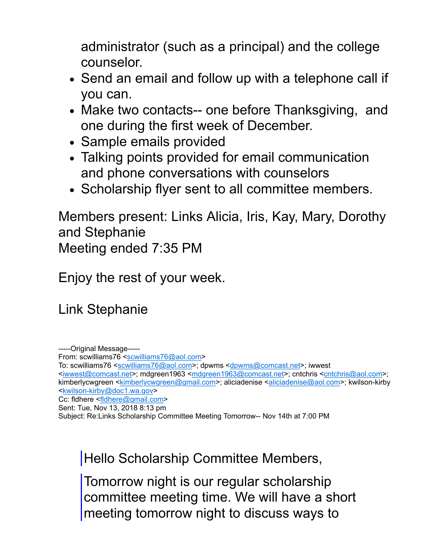administrator (such as a principal) and the college counselor.

- Send an email and follow up with a telephone call if you can.
- Make two contacts-- one before Thanksgiving, and one during the first week of December.
- Sample emails provided
- Talking points provided for email communication and phone conversations with counselors
- Scholarship flyer sent to all committee members.

Members present: Links Alicia, Iris, Kay, Mary, Dorothy and Stephanie Meeting ended 7:35 PM

Enjoy the rest of your week.

Link Stephanie

-----Original Message-----

From: scwilliams76 [<scwilliams76@aol.com>](mailto:scwilliams76@aol.com)

To: scwilliams76 <[scwilliams76@aol.com](mailto:scwilliams76@aol.com)>; dpwms <[dpwms@comcast.net>](mailto:dpwms@comcast.net); iwwest

<[iwwest@comcast.net>](mailto:iwwest@comcast.net); mdgreen1963 <[mdgreen1963@comcast.net](mailto:mdgreen1963@comcast.net)>; cntchris [<cntchris@aol.com>](mailto:cntchris@aol.com); kimberlycwgreen <[kimberlycwgreen@gmail.com>](mailto:kimberlycwgreen@gmail.com); aliciadenise <[aliciadenise@aol.com](mailto:aliciadenise@aol.com)>; kwilson-kirby <[kwilson-kirby@doc1.wa.gov](mailto:kwilson-kirby@doc1.wa.gov)>

Cc: fldhere [<fldhere@gmail.com>](mailto:fldhere@gmail.com)

Subject: Re:Links Scholarship Committee Meeting Tomorrow-- Nov 14th at 7:00 PM

Hello Scholarship Committee Members,

Tomorrow night is our regular scholarship committee meeting time. We will have a short meeting tomorrow night to discuss ways to

Sent: Tue, Nov 13, 2018 8:13 pm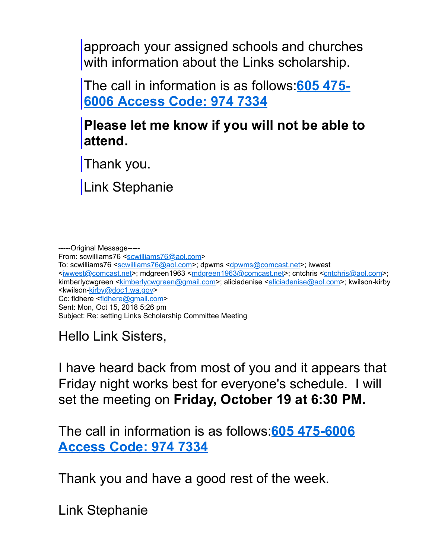approach your assigned schools and churches with information about the Links scholarship.

[The call in information is as follows:](tel:605%20475-6006;974%207334)**605 475- 6006 Access Code: 974 7334**

## **Please let me know if you will not be able to attend.**

Thank you.

Link Stephanie

-----Original Message----- From: scwilliams76 [<scwilliams76@aol.com>](mailto:scwilliams76@aol.com) To: scwilliams76 <[scwilliams76@aol.com](mailto:scwilliams76@aol.com)>; dpwms <[dpwms@comcast.net>](mailto:dpwms@comcast.net); iwwest <[iwwest@comcast.net>](mailto:iwwest@comcast.net); mdgreen1963 <[mdgreen1963@comcast.net](mailto:mdgreen1963@comcast.net)>; cntchris [<cntchris@aol.com>](mailto:cntchris@aol.com); kimberlycwgreen <[kimberlycwgreen@gmail.com>](mailto:kimberlycwgreen@gmail.com); aliciadenise <[aliciadenise@aol.com](mailto:aliciadenise@aol.com)>; kwilson-kirby <kwilson[-kirby@doc1.wa.gov](mailto:kirby@doc1.wa.gov)> Cc: fldhere [<fldhere@gmail.com>](mailto:fldhere@gmail.com) Sent: Mon, Oct 15, 2018 5:26 pm Subject: Re: setting Links Scholarship Committee Meeting

Hello Link Sisters,

I have heard back from most of you and it appears that Friday night works best for everyone's schedule. I will set the meeting on **Friday, October 19 at 6:30 PM.**

[The call in information is as follows:](tel:605%20475-6006;974%207334)**605 475-6006 Access Code: 974 7334**

Thank you and have a good rest of the week.

Link Stephanie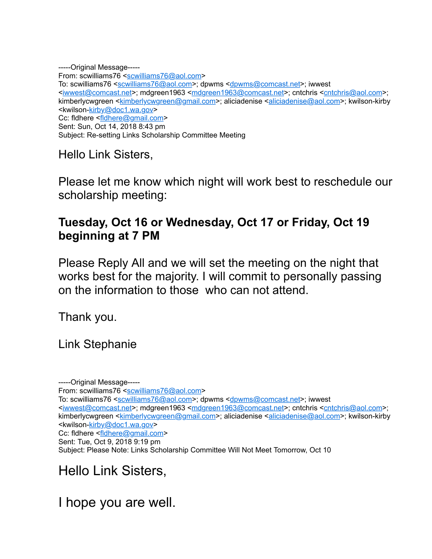-----Original Message----- From: scwilliams76 [<scwilliams76@aol.com>](mailto:scwilliams76@aol.com) To: scwilliams76 <[scwilliams76@aol.com](mailto:scwilliams76@aol.com)>; dpwms <[dpwms@comcast.net>](mailto:dpwms@comcast.net); iwwest <[iwwest@comcast.net>](mailto:iwwest@comcast.net); mdgreen1963 <[mdgreen1963@comcast.net](mailto:mdgreen1963@comcast.net)>; cntchris [<cntchris@aol.com>](mailto:cntchris@aol.com); kimberlycwgreen <[kimberlycwgreen@gmail.com>](mailto:kimberlycwgreen@gmail.com); aliciadenise <[aliciadenise@aol.com](mailto:aliciadenise@aol.com)>; kwilson-kirby <kwilson[-kirby@doc1.wa.gov](mailto:kirby@doc1.wa.gov)> Cc: fldhere [<fldhere@gmail.com>](mailto:fldhere@gmail.com) Sent: Sun, Oct 14, 2018 8:43 pm Subject: Re-setting Links Scholarship Committee Meeting

Hello Link Sisters,

Please let me know which night will work best to reschedule our scholarship meeting:

### **Tuesday, Oct 16 or Wednesday, Oct 17 or Friday, Oct 19 beginning at 7 PM**

Please Reply All and we will set the meeting on the night that works best for the majority. I will commit to personally passing on the information to those who can not attend.

Thank you.

Link Stephanie

-----Original Message----- From: scwilliams76 [<scwilliams76@aol.com>](mailto:scwilliams76@aol.com) To: scwilliams76 <[scwilliams76@aol.com](mailto:scwilliams76@aol.com)>; dpwms <[dpwms@comcast.net>](mailto:dpwms@comcast.net); iwwest <[iwwest@comcast.net>](mailto:iwwest@comcast.net); mdgreen1963 <[mdgreen1963@comcast.net](mailto:mdgreen1963@comcast.net)>; cntchris [<cntchris@aol.com>](mailto:cntchris@aol.com); kimberlycwgreen <[kimberlycwgreen@gmail.com>](mailto:kimberlycwgreen@gmail.com); aliciadenise <[aliciadenise@aol.com](mailto:aliciadenise@aol.com)>; kwilson-kirby <kwilson[-kirby@doc1.wa.gov](mailto:kirby@doc1.wa.gov)> Cc: fldhere [<fldhere@gmail.com>](mailto:fldhere@gmail.com) Sent: Tue, Oct 9, 2018 9:19 pm Subject: Please Note: Links Scholarship Committee Will Not Meet Tomorrow, Oct 10

Hello Link Sisters,

I hope you are well.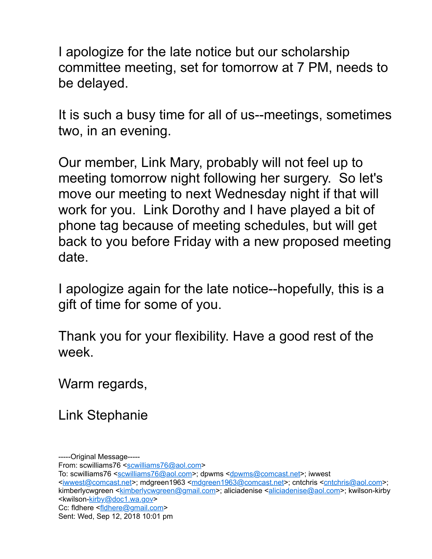I apologize for the late notice but our scholarship committee meeting, set for tomorrow at 7 PM, needs to be delayed.

It is such a busy time for all of us--meetings, sometimes two, in an evening.

Our member, Link Mary, probably will not feel up to meeting tomorrow night following her surgery. So let's move our meeting to next Wednesday night if that will work for you. Link Dorothy and I have played a bit of phone tag because of meeting schedules, but will get back to you before Friday with a new proposed meeting date.

I apologize again for the late notice--hopefully, this is a gift of time for some of you.

Thank you for your flexibility. Have a good rest of the week.

Warm regards,

Link Stephanie

From: scwilliams76 [<scwilliams76@aol.com>](mailto:scwilliams76@aol.com)

To: scwilliams76 <[scwilliams76@aol.com](mailto:scwilliams76@aol.com)>; dpwms <[dpwms@comcast.net>](mailto:dpwms@comcast.net); iwwest

<[iwwest@comcast.net>](mailto:iwwest@comcast.net); mdgreen1963 <[mdgreen1963@comcast.net](mailto:mdgreen1963@comcast.net)>; cntchris [<cntchris@aol.com>](mailto:cntchris@aol.com); kimberlycwgreen <[kimberlycwgreen@gmail.com>](mailto:kimberlycwgreen@gmail.com); aliciadenise <[aliciadenise@aol.com](mailto:aliciadenise@aol.com)>; kwilson-kirby <kwilson[-kirby@doc1.wa.gov](mailto:kirby@doc1.wa.gov)> Cc: fldhere [<fldhere@gmail.com>](mailto:fldhere@gmail.com)

Sent: Wed, Sep 12, 2018 10:01 pm

<sup>-----</sup>Original Message-----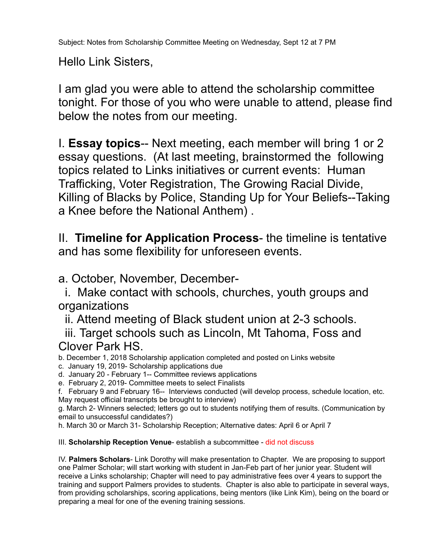Hello Link Sisters,

I am glad you were able to attend the scholarship committee tonight. For those of you who were unable to attend, please find below the notes from our meeting.

I. **Essay topics**-- Next meeting, each member will bring 1 or 2 essay questions. (At last meeting, brainstormed the following topics related to Links initiatives or current events: Human Trafficking, Voter Registration, The Growing Racial Divide, Killing of Blacks by Police, Standing Up for Your Beliefs--Taking a Knee before the National Anthem) .

II. **Timeline for Application Process**- the timeline is tentative and has some flexibility for unforeseen events.

#### a. October, November, December-

 i. Make contact with schools, churches, youth groups and organizations

ii. Attend meeting of Black student union at 2-3 schools.

 iii. Target schools such as Lincoln, Mt Tahoma, Foss and Clover Park HS.

b. December 1, 2018 Scholarship application completed and posted on Links website

c. January 19, 2019- Scholarship applications due

d. January 20 - February 1-- Committee reviews applications

e. February 2, 2019- Committee meets to select Finalists

f. February 9 and February 16-- Interviews conducted (will develop process, schedule location, etc. May request official transcripts be brought to interview)

g. March 2- Winners selected; letters go out to students notifying them of results. (Communication by email to unsuccessful candidates?)

h. March 30 or March 31- Scholarship Reception; Alternative dates: April 6 or April 7

#### III. **Scholarship Reception Venue**- establish a subcommittee - did not discuss

IV. **Palmers Scholars**- Link Dorothy will make presentation to Chapter. We are proposing to support one Palmer Scholar; will start working with student in Jan-Feb part of her junior year. Student will receive a Links scholarship; Chapter will need to pay administrative fees over 4 years to support the training and support Palmers provides to students. Chapter is also able to participate in several ways, from providing scholarships, scoring applications, being mentors (like Link Kim), being on the board or preparing a meal for one of the evening training sessions.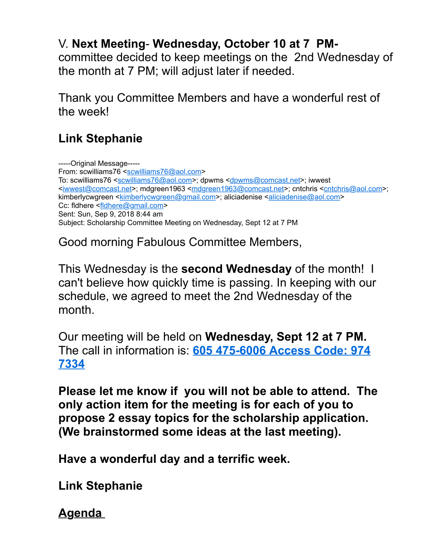## V. **Next Meeting**- **Wednesday, October 10 at 7 PM-**

committee decided to keep meetings on the 2nd Wednesday of the month at 7 PM; will adjust later if needed.

Thank you Committee Members and have a wonderful rest of the week!

## **Link Stephanie**

-----Original Message----- From: scwilliams76 [<scwilliams76@aol.com>](mailto:scwilliams76@aol.com) To: scwilliams76 <[scwilliams76@aol.com](mailto:scwilliams76@aol.com)>; dpwms <[dpwms@comcast.net>](mailto:dpwms@comcast.net); iwwest <[iwwest@comcast.net>](mailto:iwwest@comcast.net); mdgreen1963 <[mdgreen1963@comcast.net](mailto:mdgreen1963@comcast.net)>; cntchris [<cntchris@aol.com>](mailto:cntchris@aol.com); kimberlycwgreen <[kimberlycwgreen@gmail.com>](mailto:kimberlycwgreen@gmail.com); aliciadenise <[aliciadenise@aol.com](mailto:aliciadenise@aol.com)> Cc: fldhere [<fldhere@gmail.com>](mailto:fldhere@gmail.com) Sent: Sun, Sep 9, 2018 8:44 am Subject: Scholarship Committee Meeting on Wednesday, Sept 12 at 7 PM

Good morning Fabulous Committee Members,

This Wednesday is the **second Wednesday** of the month! I can't believe how quickly time is passing. In keeping with our schedule, we agreed to meet the 2nd Wednesday of the month.

Our meeting will be held on **Wednesday, Sept 12 at 7 PM.**  The call in information is: **[605 475-6006 Access Code: 974](tel:605%20475-6006;974%207334) 7334**

**Please let me know if you will not be able to attend. The only action item for the meeting is for each of you to propose 2 essay topics for the scholarship application. (We brainstormed some ideas at the last meeting).** 

**Have a wonderful day and a terrific week.**

**Link Stephanie**

**Agenda**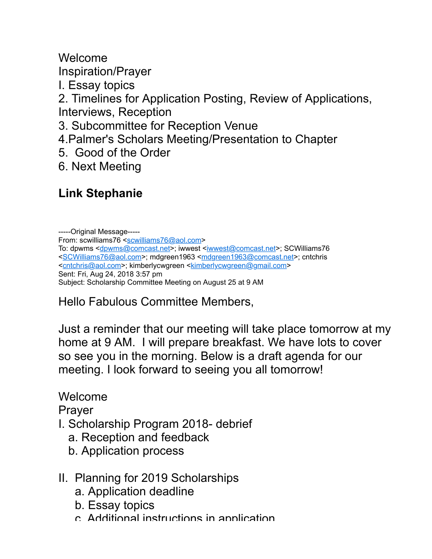Welcome Inspiration/Prayer I. Essay topics

2. Timelines for Application Posting, Review of Applications, Interviews, Reception

3. Subcommittee for Reception Venue

4.Palmer's Scholars Meeting/Presentation to Chapter

5. Good of the Order

6. Next Meeting

## **Link Stephanie**

-----Original Message----- From: scwilliams76 [<scwilliams76@aol.com>](mailto:scwilliams76@aol.com) To: dpwms [<dpwms@comcast.net](mailto:dpwms@comcast.net)>; iwwest [<iwwest@comcast.net>](mailto:iwwest@comcast.net); SCWilliams76 <[SCWilliams76@aol.com>](mailto:SCWilliams76@aol.com); mdgreen1963 <[mdgreen1963@comcast.net](mailto:mdgreen1963@comcast.net)>; cntchris <[cntchris@aol.com>](mailto:cntchris@aol.com); kimberlycwgreen <[kimberlycwgreen@gmail.com](mailto:kimberlycwgreen@gmail.com)> Sent: Fri, Aug 24, 2018 3:57 pm Subject: Scholarship Committee Meeting on August 25 at 9 AM

Hello Fabulous Committee Members,

Just a reminder that our meeting will take place tomorrow at my home at 9 AM. I will prepare breakfast. We have lots to cover so see you in the morning. Below is a draft agenda for our meeting. I look forward to seeing you all tomorrow!

Welcome

Prayer

- I. Scholarship Program 2018- debrief
	- a. Reception and feedback
	- b. Application process
- II. Planning for 2019 Scholarships
	- a. Application deadline
	- b. Essay topics
	- c. Additional instructions in application